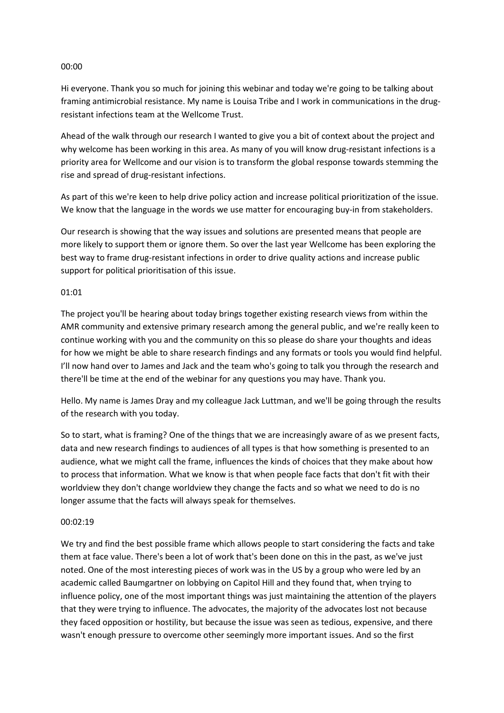#### 00:00

Hi everyone. Thank you so much for joining this webinar and today we're going to be talking about framing antimicrobial resistance. My name is Louisa Tribe and I work in communications in the drugresistant infections team at the Wellcome Trust.

Ahead of the walk through our research I wanted to give you a bit of context about the project and why welcome has been working in this area. As many of you will know drug-resistant infections is a priority area for Wellcome and our vision is to transform the global response towards stemming the rise and spread of drug-resistant infections.

As part of this we're keen to help drive policy action and increase political prioritization of the issue. We know that the language in the words we use matter for encouraging buy-in from stakeholders.

Our research is showing that the way issues and solutions are presented means that people are more likely to support them or ignore them. So over the last year Wellcome has been exploring the best way to frame drug-resistant infections in order to drive quality actions and increase public support for political prioritisation of this issue.

#### 01:01

The project you'll be hearing about today brings together existing research views from within the AMR community and extensive primary research among the general public, and we're really keen to continue working with you and the community on this so please do share your thoughts and ideas for how we might be able to share research findings and any formats or tools you would find helpful. I'll now hand over to James and Jack and the team who's going to talk you through the research and there'll be time at the end of the webinar for any questions you may have. Thank you.

Hello. My name is James Dray and my colleague Jack Luttman, and we'll be going through the results of the research with you today.

So to start, what is framing? One of the things that we are increasingly aware of as we present facts, data and new research findings to audiences of all types is that how something is presented to an audience, what we might call the frame, influences the kinds of choices that they make about how to process that information. What we know is that when people face facts that don't fit with their worldview they don't change worldview they change the facts and so what we need to do is no longer assume that the facts will always speak for themselves.

#### 00:02:19

We try and find the best possible frame which allows people to start considering the facts and take them at face value. There's been a lot of work that's been done on this in the past, as we've just noted. One of the most interesting pieces of work was in the US by a group who were led by an academic called Baumgartner on lobbying on Capitol Hill and they found that, when trying to influence policy, one of the most important things was just maintaining the attention of the players that they were trying to influence. The advocates, the majority of the advocates lost not because they faced opposition or hostility, but because the issue was seen as tedious, expensive, and there wasn't enough pressure to overcome other seemingly more important issues. And so the first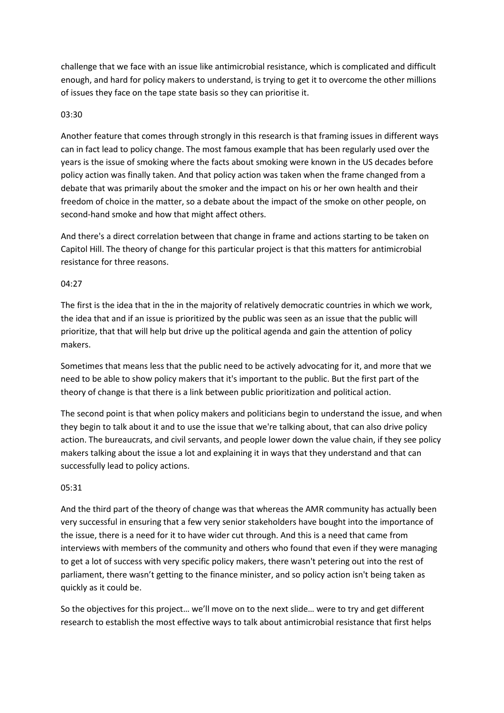challenge that we face with an issue like antimicrobial resistance, which is complicated and difficult enough, and hard for policy makers to understand, is trying to get it to overcome the other millions of issues they face on the tape state basis so they can prioritise it.

## 03:30

Another feature that comes through strongly in this research is that framing issues in different ways can in fact lead to policy change. The most famous example that has been regularly used over the years is the issue of smoking where the facts about smoking were known in the US decades before policy action was finally taken. And that policy action was taken when the frame changed from a debate that was primarily about the smoker and the impact on his or her own health and their freedom of choice in the matter, so a debate about the impact of the smoke on other people, on second-hand smoke and how that might affect others.

And there's a direct correlation between that change in frame and actions starting to be taken on Capitol Hill. The theory of change for this particular project is that this matters for antimicrobial resistance for three reasons.

### 04:27

The first is the idea that in the in the majority of relatively democratic countries in which we work, the idea that and if an issue is prioritized by the public was seen as an issue that the public will prioritize, that that will help but drive up the political agenda and gain the attention of policy makers.

Sometimes that means less that the public need to be actively advocating for it, and more that we need to be able to show policy makers that it's important to the public. But the first part of the theory of change is that there is a link between public prioritization and political action.

The second point is that when policy makers and politicians begin to understand the issue, and when they begin to talk about it and to use the issue that we're talking about, that can also drive policy action. The bureaucrats, and civil servants, and people lower down the value chain, if they see policy makers talking about the issue a lot and explaining it in ways that they understand and that can successfully lead to policy actions.

# 05:31

And the third part of the theory of change was that whereas the AMR community has actually been very successful in ensuring that a few very senior stakeholders have bought into the importance of the issue, there is a need for it to have wider cut through. And this is a need that came from interviews with members of the community and others who found that even if they were managing to get a lot of success with very specific policy makers, there wasn't petering out into the rest of parliament, there wasn't getting to the finance minister, and so policy action isn't being taken as quickly as it could be.

So the objectives for this project… we'll move on to the next slide… were to try and get different research to establish the most effective ways to talk about antimicrobial resistance that first helps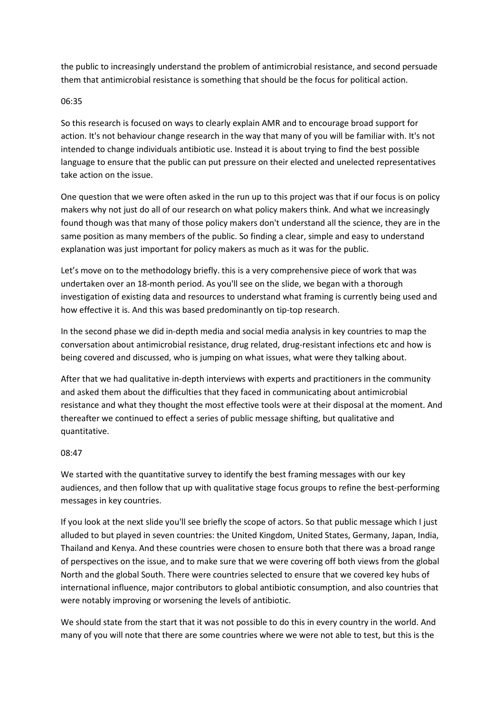the public to increasingly understand the problem of antimicrobial resistance, and second persuade them that antimicrobial resistance is something that should be the focus for political action.

## 06:35

So this research is focused on ways to clearly explain AMR and to encourage broad support for action. It's not behaviour change research in the way that many of you will be familiar with. It's not intended to change individuals antibiotic use. Instead it is about trying to find the best possible language to ensure that the public can put pressure on their elected and unelected representatives take action on the issue.

One question that we were often asked in the run up to this project was that if our focus is on policy makers why not just do all of our research on what policy makers think. And what we increasingly found though was that many of those policy makers don't understand all the science, they are in the same position as many members of the public. So finding a clear, simple and easy to understand explanation was just important for policy makers as much as it was for the public.

Let's move on to the methodology briefly. this is a very comprehensive piece of work that was undertaken over an 18-month period. As you'll see on the slide, we began with a thorough investigation of existing data and resources to understand what framing is currently being used and how effective it is. And this was based predominantly on tip-top research.

In the second phase we did in-depth media and social media analysis in key countries to map the conversation about antimicrobial resistance, drug related, drug-resistant infections etc and how is being covered and discussed, who is jumping on what issues, what were they talking about.

After that we had qualitative in-depth interviews with experts and practitioners in the community and asked them about the difficulties that they faced in communicating about antimicrobial resistance and what they thought the most effective tools were at their disposal at the moment. And thereafter we continued to effect a series of public message shifting, but qualitative and quantitative.

# 08:47

We started with the quantitative survey to identify the best framing messages with our key audiences, and then follow that up with qualitative stage focus groups to refine the best-performing messages in key countries.

If you look at the next slide you'll see briefly the scope of actors. So that public message which I just alluded to but played in seven countries: the United Kingdom, United States, Germany, Japan, India, Thailand and Kenya. And these countries were chosen to ensure both that there was a broad range of perspectives on the issue, and to make sure that we were covering off both views from the global North and the global South. There were countries selected to ensure that we covered key hubs of international influence, major contributors to global antibiotic consumption, and also countries that were notably improving or worsening the levels of antibiotic.

We should state from the start that it was not possible to do this in every country in the world. And many of you will note that there are some countries where we were not able to test, but this is the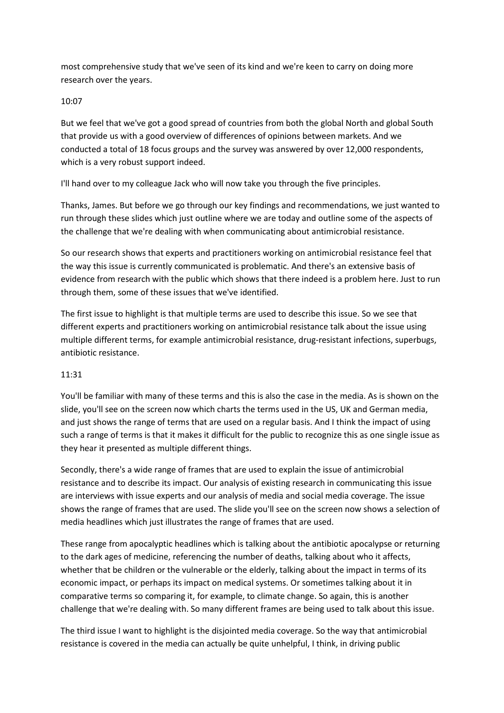most comprehensive study that we've seen of its kind and we're keen to carry on doing more research over the years.

## 10:07

But we feel that we've got a good spread of countries from both the global North and global South that provide us with a good overview of differences of opinions between markets. And we conducted a total of 18 focus groups and the survey was answered by over 12,000 respondents, which is a very robust support indeed.

I'll hand over to my colleague Jack who will now take you through the five principles.

Thanks, James. But before we go through our key findings and recommendations, we just wanted to run through these slides which just outline where we are today and outline some of the aspects of the challenge that we're dealing with when communicating about antimicrobial resistance.

So our research shows that experts and practitioners working on antimicrobial resistance feel that the way this issue is currently communicated is problematic. And there's an extensive basis of evidence from research with the public which shows that there indeed is a problem here. Just to run through them, some of these issues that we've identified.

The first issue to highlight is that multiple terms are used to describe this issue. So we see that different experts and practitioners working on antimicrobial resistance talk about the issue using multiple different terms, for example antimicrobial resistance, drug-resistant infections, superbugs, antibiotic resistance.

# 11:31

You'll be familiar with many of these terms and this is also the case in the media. As is shown on the slide, you'll see on the screen now which charts the terms used in the US, UK and German media, and just shows the range of terms that are used on a regular basis. And I think the impact of using such a range of terms is that it makes it difficult for the public to recognize this as one single issue as they hear it presented as multiple different things.

Secondly, there's a wide range of frames that are used to explain the issue of antimicrobial resistance and to describe its impact. Our analysis of existing research in communicating this issue are interviews with issue experts and our analysis of media and social media coverage. The issue shows the range of frames that are used. The slide you'll see on the screen now shows a selection of media headlines which just illustrates the range of frames that are used.

These range from apocalyptic headlines which is talking about the antibiotic apocalypse or returning to the dark ages of medicine, referencing the number of deaths, talking about who it affects, whether that be children or the vulnerable or the elderly, talking about the impact in terms of its economic impact, or perhaps its impact on medical systems. Or sometimes talking about it in comparative terms so comparing it, for example, to climate change. So again, this is another challenge that we're dealing with. So many different frames are being used to talk about this issue.

The third issue I want to highlight is the disjointed media coverage. So the way that antimicrobial resistance is covered in the media can actually be quite unhelpful, I think, in driving public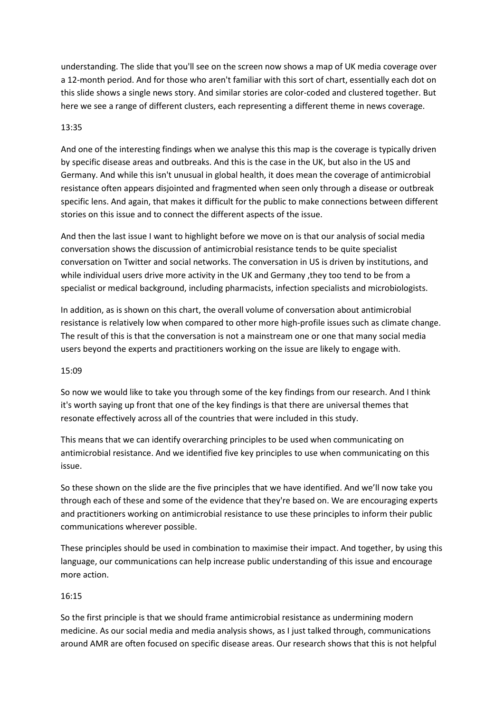understanding. The slide that you'll see on the screen now shows a map of UK media coverage over a 12-month period. And for those who aren't familiar with this sort of chart, essentially each dot on this slide shows a single news story. And similar stories are color-coded and clustered together. But here we see a range of different clusters, each representing a different theme in news coverage.

### 13:35

And one of the interesting findings when we analyse this this map is the coverage is typically driven by specific disease areas and outbreaks. And this is the case in the UK, but also in the US and Germany. And while this isn't unusual in global health, it does mean the coverage of antimicrobial resistance often appears disjointed and fragmented when seen only through a disease or outbreak specific lens. And again, that makes it difficult for the public to make connections between different stories on this issue and to connect the different aspects of the issue.

And then the last issue I want to highlight before we move on is that our analysis of social media conversation shows the discussion of antimicrobial resistance tends to be quite specialist conversation on Twitter and social networks. The conversation in US is driven by institutions, and while individual users drive more activity in the UK and Germany ,they too tend to be from a specialist or medical background, including pharmacists, infection specialists and microbiologists.

In addition, as is shown on this chart, the overall volume of conversation about antimicrobial resistance is relatively low when compared to other more high-profile issues such as climate change. The result of this is that the conversation is not a mainstream one or one that many social media users beyond the experts and practitioners working on the issue are likely to engage with.

#### 15:09

So now we would like to take you through some of the key findings from our research. And I think it's worth saying up front that one of the key findings is that there are universal themes that resonate effectively across all of the countries that were included in this study.

This means that we can identify overarching principles to be used when communicating on antimicrobial resistance. And we identified five key principles to use when communicating on this issue.

So these shown on the slide are the five principles that we have identified. And we'll now take you through each of these and some of the evidence that they're based on. We are encouraging experts and practitioners working on antimicrobial resistance to use these principles to inform their public communications wherever possible.

These principles should be used in combination to maximise their impact. And together, by using this language, our communications can help increase public understanding of this issue and encourage more action.

# 16:15

So the first principle is that we should frame antimicrobial resistance as undermining modern medicine. As our social media and media analysis shows, as I just talked through, communications around AMR are often focused on specific disease areas. Our research shows that this is not helpful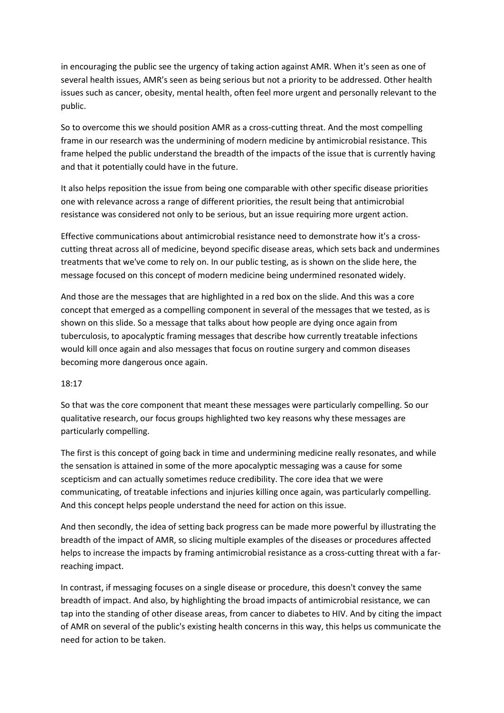in encouraging the public see the urgency of taking action against AMR. When it's seen as one of several health issues, AMR's seen as being serious but not a priority to be addressed. Other health issues such as cancer, obesity, mental health, often feel more urgent and personally relevant to the public.

So to overcome this we should position AMR as a cross-cutting threat. And the most compelling frame in our research was the undermining of modern medicine by antimicrobial resistance. This frame helped the public understand the breadth of the impacts of the issue that is currently having and that it potentially could have in the future.

It also helps reposition the issue from being one comparable with other specific disease priorities one with relevance across a range of different priorities, the result being that antimicrobial resistance was considered not only to be serious, but an issue requiring more urgent action.

Effective communications about antimicrobial resistance need to demonstrate how it's a crosscutting threat across all of medicine, beyond specific disease areas, which sets back and undermines treatments that we've come to rely on. In our public testing, as is shown on the slide here, the message focused on this concept of modern medicine being undermined resonated widely.

And those are the messages that are highlighted in a red box on the slide. And this was a core concept that emerged as a compelling component in several of the messages that we tested, as is shown on this slide. So a message that talks about how people are dying once again from tuberculosis, to apocalyptic framing messages that describe how currently treatable infections would kill once again and also messages that focus on routine surgery and common diseases becoming more dangerous once again.

#### 18:17

So that was the core component that meant these messages were particularly compelling. So our qualitative research, our focus groups highlighted two key reasons why these messages are particularly compelling.

The first is this concept of going back in time and undermining medicine really resonates, and while the sensation is attained in some of the more apocalyptic messaging was a cause for some scepticism and can actually sometimes reduce credibility. The core idea that we were communicating, of treatable infections and injuries killing once again, was particularly compelling. And this concept helps people understand the need for action on this issue.

And then secondly, the idea of setting back progress can be made more powerful by illustrating the breadth of the impact of AMR, so slicing multiple examples of the diseases or procedures affected helps to increase the impacts by framing antimicrobial resistance as a cross-cutting threat with a farreaching impact.

In contrast, if messaging focuses on a single disease or procedure, this doesn't convey the same breadth of impact. And also, by highlighting the broad impacts of antimicrobial resistance, we can tap into the standing of other disease areas, from cancer to diabetes to HIV. And by citing the impact of AMR on several of the public's existing health concerns in this way, this helps us communicate the need for action to be taken.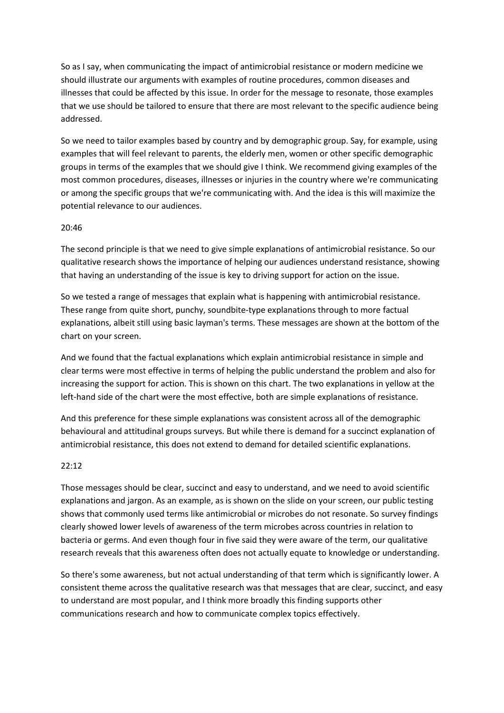So as I say, when communicating the impact of antimicrobial resistance or modern medicine we should illustrate our arguments with examples of routine procedures, common diseases and illnesses that could be affected by this issue. In order for the message to resonate, those examples that we use should be tailored to ensure that there are most relevant to the specific audience being addressed.

So we need to tailor examples based by country and by demographic group. Say, for example, using examples that will feel relevant to parents, the elderly men, women or other specific demographic groups in terms of the examples that we should give I think. We recommend giving examples of the most common procedures, diseases, illnesses or injuries in the country where we're communicating or among the specific groups that we're communicating with. And the idea is this will maximize the potential relevance to our audiences.

### 20:46

The second principle is that we need to give simple explanations of antimicrobial resistance. So our qualitative research shows the importance of helping our audiences understand resistance, showing that having an understanding of the issue is key to driving support for action on the issue.

So we tested a range of messages that explain what is happening with antimicrobial resistance. These range from quite short, punchy, soundbite-type explanations through to more factual explanations, albeit still using basic layman's terms. These messages are shown at the bottom of the chart on your screen.

And we found that the factual explanations which explain antimicrobial resistance in simple and clear terms were most effective in terms of helping the public understand the problem and also for increasing the support for action. This is shown on this chart. The two explanations in yellow at the left-hand side of the chart were the most effective, both are simple explanations of resistance.

And this preference for these simple explanations was consistent across all of the demographic behavioural and attitudinal groups surveys. But while there is demand for a succinct explanation of antimicrobial resistance, this does not extend to demand for detailed scientific explanations.

# 22:12

Those messages should be clear, succinct and easy to understand, and we need to avoid scientific explanations and jargon. As an example, as is shown on the slide on your screen, our public testing shows that commonly used terms like antimicrobial or microbes do not resonate. So survey findings clearly showed lower levels of awareness of the term microbes across countries in relation to bacteria or germs. And even though four in five said they were aware of the term, our qualitative research reveals that this awareness often does not actually equate to knowledge or understanding.

So there's some awareness, but not actual understanding of that term which is significantly lower. A consistent theme across the qualitative research was that messages that are clear, succinct, and easy to understand are most popular, and I think more broadly this finding supports other communications research and how to communicate complex topics effectively.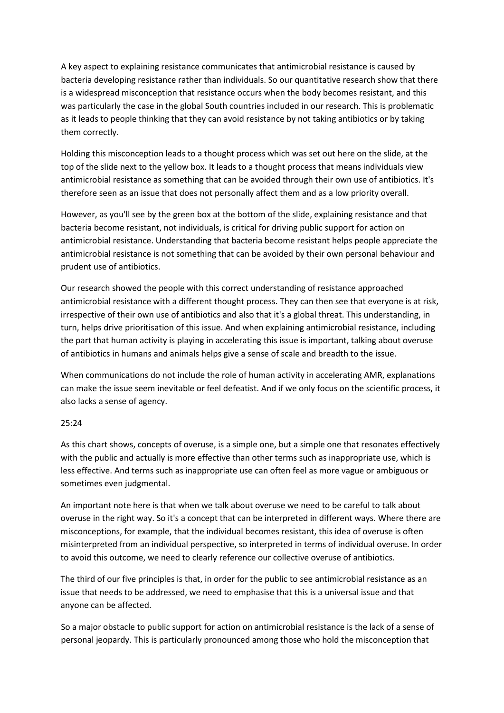A key aspect to explaining resistance communicates that antimicrobial resistance is caused by bacteria developing resistance rather than individuals. So our quantitative research show that there is a widespread misconception that resistance occurs when the body becomes resistant, and this was particularly the case in the global South countries included in our research. This is problematic as it leads to people thinking that they can avoid resistance by not taking antibiotics or by taking them correctly.

Holding this misconception leads to a thought process which was set out here on the slide, at the top of the slide next to the yellow box. It leads to a thought process that means individuals view antimicrobial resistance as something that can be avoided through their own use of antibiotics. It's therefore seen as an issue that does not personally affect them and as a low priority overall.

However, as you'll see by the green box at the bottom of the slide, explaining resistance and that bacteria become resistant, not individuals, is critical for driving public support for action on antimicrobial resistance. Understanding that bacteria become resistant helps people appreciate the antimicrobial resistance is not something that can be avoided by their own personal behaviour and prudent use of antibiotics.

Our research showed the people with this correct understanding of resistance approached antimicrobial resistance with a different thought process. They can then see that everyone is at risk, irrespective of their own use of antibiotics and also that it's a global threat. This understanding, in turn, helps drive prioritisation of this issue. And when explaining antimicrobial resistance, including the part that human activity is playing in accelerating this issue is important, talking about overuse of antibiotics in humans and animals helps give a sense of scale and breadth to the issue.

When communications do not include the role of human activity in accelerating AMR, explanations can make the issue seem inevitable or feel defeatist. And if we only focus on the scientific process, it also lacks a sense of agency.

#### 25:24

As this chart shows, concepts of overuse, is a simple one, but a simple one that resonates effectively with the public and actually is more effective than other terms such as inappropriate use, which is less effective. And terms such as inappropriate use can often feel as more vague or ambiguous or sometimes even judgmental.

An important note here is that when we talk about overuse we need to be careful to talk about overuse in the right way. So it's a concept that can be interpreted in different ways. Where there are misconceptions, for example, that the individual becomes resistant, this idea of overuse is often misinterpreted from an individual perspective, so interpreted in terms of individual overuse. In order to avoid this outcome, we need to clearly reference our collective overuse of antibiotics.

The third of our five principles is that, in order for the public to see antimicrobial resistance as an issue that needs to be addressed, we need to emphasise that this is a universal issue and that anyone can be affected.

So a major obstacle to public support for action on antimicrobial resistance is the lack of a sense of personal jeopardy. This is particularly pronounced among those who hold the misconception that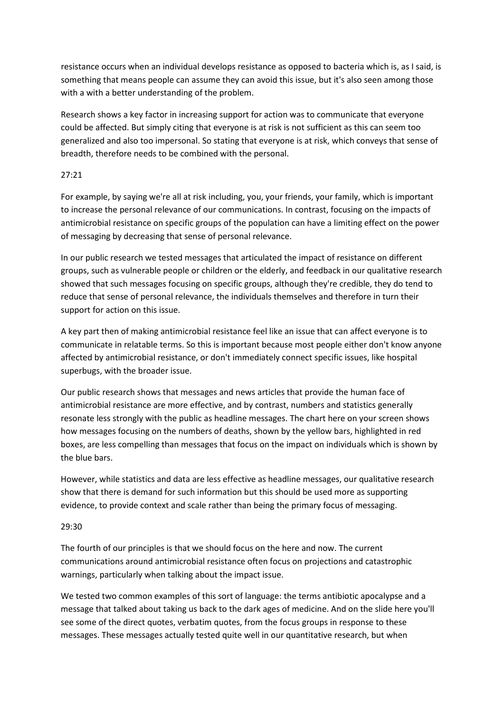resistance occurs when an individual develops resistance as opposed to bacteria which is, as I said, is something that means people can assume they can avoid this issue, but it's also seen among those with a with a better understanding of the problem.

Research shows a key factor in increasing support for action was to communicate that everyone could be affected. But simply citing that everyone is at risk is not sufficient as this can seem too generalized and also too impersonal. So stating that everyone is at risk, which conveys that sense of breadth, therefore needs to be combined with the personal.

### 27:21

For example, by saying we're all at risk including, you, your friends, your family, which is important to increase the personal relevance of our communications. In contrast, focusing on the impacts of antimicrobial resistance on specific groups of the population can have a limiting effect on the power of messaging by decreasing that sense of personal relevance.

In our public research we tested messages that articulated the impact of resistance on different groups, such as vulnerable people or children or the elderly, and feedback in our qualitative research showed that such messages focusing on specific groups, although they're credible, they do tend to reduce that sense of personal relevance, the individuals themselves and therefore in turn their support for action on this issue.

A key part then of making antimicrobial resistance feel like an issue that can affect everyone is to communicate in relatable terms. So this is important because most people either don't know anyone affected by antimicrobial resistance, or don't immediately connect specific issues, like hospital superbugs, with the broader issue.

Our public research shows that messages and news articles that provide the human face of antimicrobial resistance are more effective, and by contrast, numbers and statistics generally resonate less strongly with the public as headline messages. The chart here on your screen shows how messages focusing on the numbers of deaths, shown by the yellow bars, highlighted in red boxes, are less compelling than messages that focus on the impact on individuals which is shown by the blue bars.

However, while statistics and data are less effective as headline messages, our qualitative research show that there is demand for such information but this should be used more as supporting evidence, to provide context and scale rather than being the primary focus of messaging.

# 29:30

The fourth of our principles is that we should focus on the here and now. The current communications around antimicrobial resistance often focus on projections and catastrophic warnings, particularly when talking about the impact issue.

We tested two common examples of this sort of language: the terms antibiotic apocalypse and a message that talked about taking us back to the dark ages of medicine. And on the slide here you'll see some of the direct quotes, verbatim quotes, from the focus groups in response to these messages. These messages actually tested quite well in our quantitative research, but when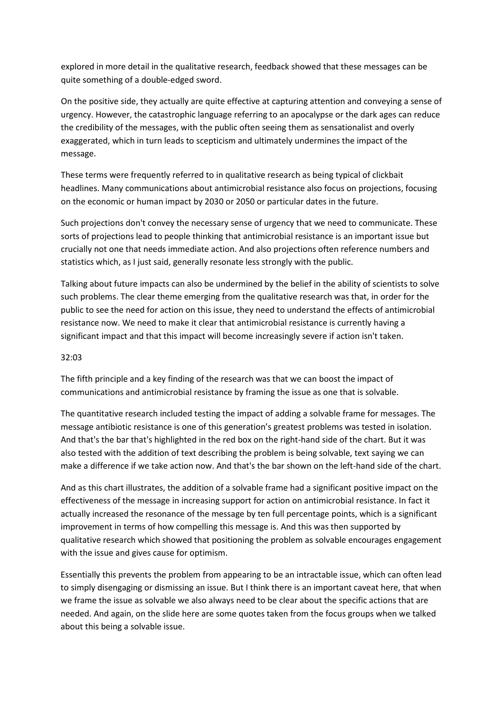explored in more detail in the qualitative research, feedback showed that these messages can be quite something of a double-edged sword.

On the positive side, they actually are quite effective at capturing attention and conveying a sense of urgency. However, the catastrophic language referring to an apocalypse or the dark ages can reduce the credibility of the messages, with the public often seeing them as sensationalist and overly exaggerated, which in turn leads to scepticism and ultimately undermines the impact of the message.

These terms were frequently referred to in qualitative research as being typical of clickbait headlines. Many communications about antimicrobial resistance also focus on projections, focusing on the economic or human impact by 2030 or 2050 or particular dates in the future.

Such projections don't convey the necessary sense of urgency that we need to communicate. These sorts of projections lead to people thinking that antimicrobial resistance is an important issue but crucially not one that needs immediate action. And also projections often reference numbers and statistics which, as I just said, generally resonate less strongly with the public.

Talking about future impacts can also be undermined by the belief in the ability of scientists to solve such problems. The clear theme emerging from the qualitative research was that, in order for the public to see the need for action on this issue, they need to understand the effects of antimicrobial resistance now. We need to make it clear that antimicrobial resistance is currently having a significant impact and that this impact will become increasingly severe if action isn't taken.

## 32:03

The fifth principle and a key finding of the research was that we can boost the impact of communications and antimicrobial resistance by framing the issue as one that is solvable.

The quantitative research included testing the impact of adding a solvable frame for messages. The message antibiotic resistance is one of this generation's greatest problems was tested in isolation. And that's the bar that's highlighted in the red box on the right-hand side of the chart. But it was also tested with the addition of text describing the problem is being solvable, text saying we can make a difference if we take action now. And that's the bar shown on the left-hand side of the chart.

And as this chart illustrates, the addition of a solvable frame had a significant positive impact on the effectiveness of the message in increasing support for action on antimicrobial resistance. In fact it actually increased the resonance of the message by ten full percentage points, which is a significant improvement in terms of how compelling this message is. And this was then supported by qualitative research which showed that positioning the problem as solvable encourages engagement with the issue and gives cause for optimism.

Essentially this prevents the problem from appearing to be an intractable issue, which can often lead to simply disengaging or dismissing an issue. But I think there is an important caveat here, that when we frame the issue as solvable we also always need to be clear about the specific actions that are needed. And again, on the slide here are some quotes taken from the focus groups when we talked about this being a solvable issue.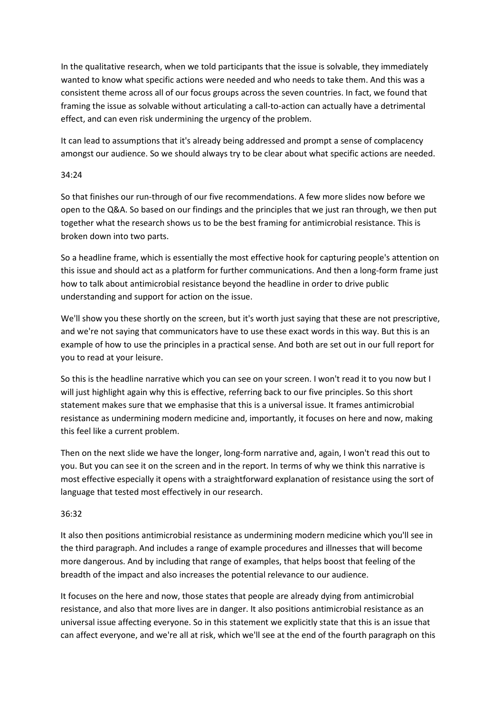In the qualitative research, when we told participants that the issue is solvable, they immediately wanted to know what specific actions were needed and who needs to take them. And this was a consistent theme across all of our focus groups across the seven countries. In fact, we found that framing the issue as solvable without articulating a call-to-action can actually have a detrimental effect, and can even risk undermining the urgency of the problem.

It can lead to assumptions that it's already being addressed and prompt a sense of complacency amongst our audience. So we should always try to be clear about what specific actions are needed.

### 34:24

So that finishes our run-through of our five recommendations. A few more slides now before we open to the Q&A. So based on our findings and the principles that we just ran through, we then put together what the research shows us to be the best framing for antimicrobial resistance. This is broken down into two parts.

So a headline frame, which is essentially the most effective hook for capturing people's attention on this issue and should act as a platform for further communications. And then a long-form frame just how to talk about antimicrobial resistance beyond the headline in order to drive public understanding and support for action on the issue.

We'll show you these shortly on the screen, but it's worth just saying that these are not prescriptive, and we're not saying that communicators have to use these exact words in this way. But this is an example of how to use the principles in a practical sense. And both are set out in our full report for you to read at your leisure.

So this is the headline narrative which you can see on your screen. I won't read it to you now but I will just highlight again why this is effective, referring back to our five principles. So this short statement makes sure that we emphasise that this is a universal issue. It frames antimicrobial resistance as undermining modern medicine and, importantly, it focuses on here and now, making this feel like a current problem.

Then on the next slide we have the longer, long-form narrative and, again, I won't read this out to you. But you can see it on the screen and in the report. In terms of why we think this narrative is most effective especially it opens with a straightforward explanation of resistance using the sort of language that tested most effectively in our research.

# 36:32

It also then positions antimicrobial resistance as undermining modern medicine which you'll see in the third paragraph. And includes a range of example procedures and illnesses that will become more dangerous. And by including that range of examples, that helps boost that feeling of the breadth of the impact and also increases the potential relevance to our audience.

It focuses on the here and now, those states that people are already dying from antimicrobial resistance, and also that more lives are in danger. It also positions antimicrobial resistance as an universal issue affecting everyone. So in this statement we explicitly state that this is an issue that can affect everyone, and we're all at risk, which we'll see at the end of the fourth paragraph on this